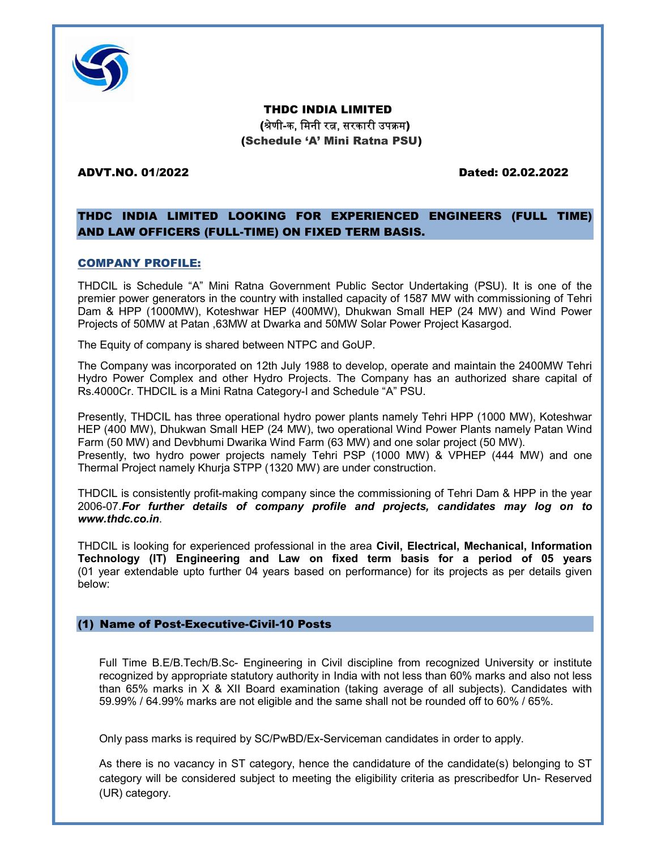

THDC INDIA LIMITED (श्रेणी-क, मिनी रत्न, सरकारी उपक्रम) (Schedule 'A' Mini Ratna PSU)

#### ADVT.NO. 01/2022 Dated: 02.02.2022

## THDC INDIA LIMITED LOOKING FOR EXPERIENCED ENGINEERS (FULL TIME) AND LAW OFFICERS (FULL-TIME) ON FIXED TERM BASIS.

### COMPANY PROFILE:

THDCIL is Schedule "A" Mini Ratna Government Public Sector Undertaking (PSU). It is one of the premier power generators in the country with installed capacity of 1587 MW with commissioning of Tehri Dam & HPP (1000MW), Koteshwar HEP (400MW), Dhukwan Small HEP (24 MW) and Wind Power Projects of 50MW at Patan ,63MW at Dwarka and 50MW Solar Power Project Kasargod.

The Equity of company is shared between NTPC and GoUP.

The Company was incorporated on 12th July 1988 to develop, operate and maintain the 2400MW Tehri Hydro Power Complex and other Hydro Projects. The Company has an authorized share capital of Rs.4000Cr. THDCIL is a Mini Ratna Category-I and Schedule "A" PSU.

Presently, THDCIL has three operational hydro power plants namely Tehri HPP (1000 MW), Koteshwar HEP (400 MW), Dhukwan Small HEP (24 MW), two operational Wind Power Plants namely Patan Wind Farm (50 MW) and Devbhumi Dwarika Wind Farm (63 MW) and one solar project (50 MW). Presently, two hydro power projects namely Tehri PSP (1000 MW) & VPHEP (444 MW) and one Thermal Project namely Khurja STPP (1320 MW) are under construction.

THDCIL is consistently profit-making company since the commissioning of Tehri Dam & HPP in the year 2006-07.For further details of company profile and projects, candidates may log on to www.thdc.co.in.

THDCIL is looking for experienced professional in the area Civil, Electrical, Mechanical, Information Technology (IT) Engineering and Law on fixed term basis for a period of 05 years (01 year extendable upto further 04 years based on performance) for its projects as per details given below:

#### (1) Name of Post-Executive-Civil-10 Posts

Full Time B.E/B.Tech/B.Sc- Engineering in Civil discipline from recognized University or institute recognized by appropriate statutory authority in India with not less than 60% marks and also not less than 65% marks in X & XII Board examination (taking average of all subjects). Candidates with 59.99% / 64.99% marks are not eligible and the same shall not be rounded off to 60% / 65%.

Only pass marks is required by SC/PwBD/Ex-Serviceman candidates in order to apply.

As there is no vacancy in ST category, hence the candidature of the candidate(s) belonging to ST category will be considered subject to meeting the eligibility criteria as prescribedfor Un- Reserved (UR) category.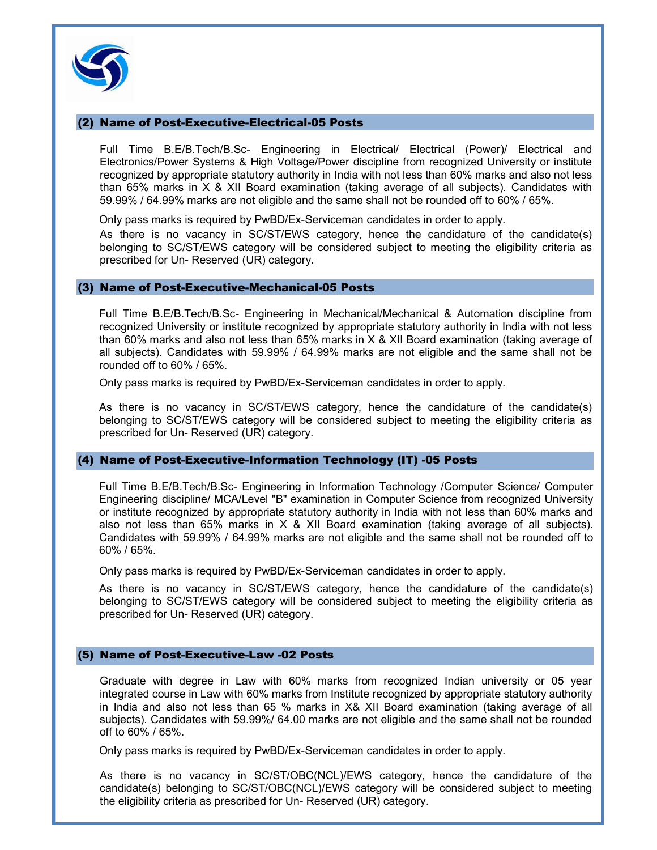

### (2) Name of Post-Executive-Electrical-05 Posts

Full Time B.E/B.Tech/B.Sc- Engineering in Electrical/ Electrical (Power)/ Electrical and Electronics/Power Systems & High Voltage/Power discipline from recognized University or institute recognized by appropriate statutory authority in India with not less than 60% marks and also not less than 65% marks in X & XII Board examination (taking average of all subjects). Candidates with 59.99% / 64.99% marks are not eligible and the same shall not be rounded off to 60% / 65%.

Only pass marks is required by PwBD/Ex-Serviceman candidates in order to apply.

As there is no vacancy in SC/ST/EWS category, hence the candidature of the candidate(s) belonging to SC/ST/EWS category will be considered subject to meeting the eligibility criteria as prescribed for Un- Reserved (UR) category.

#### (3) Name of Post-Executive-Mechanical-05 Posts

Full Time B.E/B.Tech/B.Sc- Engineering in Mechanical/Mechanical & Automation discipline from recognized University or institute recognized by appropriate statutory authority in India with not less than 60% marks and also not less than 65% marks in X & XII Board examination (taking average of all subjects). Candidates with 59.99% / 64.99% marks are not eligible and the same shall not be rounded off to 60% / 65%.

Only pass marks is required by PwBD/Ex-Serviceman candidates in order to apply.

As there is no vacancy in SC/ST/EWS category, hence the candidature of the candidate(s) belonging to SC/ST/EWS category will be considered subject to meeting the eligibility criteria as prescribed for Un- Reserved (UR) category.

### (4) Name of Post-Executive-Information Technology (IT) -05 Posts

Full Time B.E/B.Tech/B.Sc- Engineering in Information Technology /Computer Science/ Computer Engineering discipline/ MCA/Level "B" examination in Computer Science from recognized University or institute recognized by appropriate statutory authority in India with not less than 60% marks and also not less than 65% marks in X & XII Board examination (taking average of all subjects). Candidates with 59.99% / 64.99% marks are not eligible and the same shall not be rounded off to 60% / 65%.

Only pass marks is required by PwBD/Ex-Serviceman candidates in order to apply.

As there is no vacancy in SC/ST/EWS category, hence the candidature of the candidate(s) belonging to SC/ST/EWS category will be considered subject to meeting the eligibility criteria as prescribed for Un- Reserved (UR) category.

### (5) Name of Post-Executive-Law -02 Posts

Graduate with degree in Law with 60% marks from recognized Indian university or 05 year integrated course in Law with 60% marks from Institute recognized by appropriate statutory authority in India and also not less than 65 % marks in X& XII Board examination (taking average of all subjects). Candidates with 59.99%/ 64.00 marks are not eligible and the same shall not be rounded off to 60% / 65%.

Only pass marks is required by PwBD/Ex-Serviceman candidates in order to apply.

As there is no vacancy in SC/ST/OBC(NCL)/EWS category, hence the candidature of the candidate(s) belonging to SC/ST/OBC(NCL)/EWS category will be considered subject to meeting the eligibility criteria as prescribed for Un- Reserved (UR) category.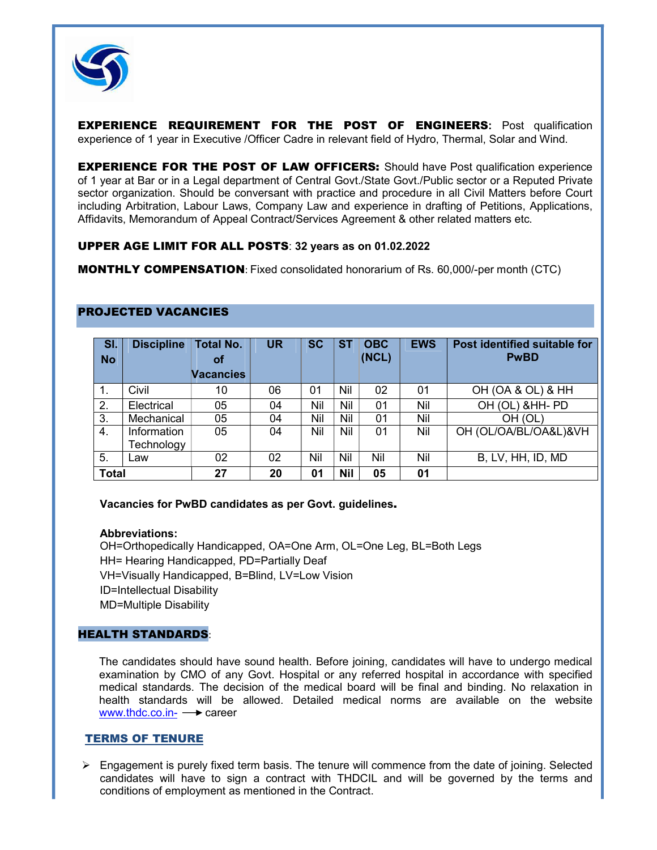

EXPERIENCE REQUIREMENT FOR THE POST OF ENGINEERS: Post qualification experience of 1 year in Executive /Officer Cadre in relevant field of Hydro, Thermal, Solar and Wind.

**EXPERIENCE FOR THE POST OF LAW OFFICERS:** Should have Post qualification experience of 1 year at Bar or in a Legal department of Central Govt./State Govt./Public sector or a Reputed Private sector organization. Should be conversant with practice and procedure in all Civil Matters before Court including Arbitration, Labour Laws, Company Law and experience in drafting of Petitions, Applications, Affidavits, Memorandum of Appeal Contract/Services Agreement & other related matters etc.

### UPPER AGE LIMIT FOR ALL POSTS: 32 years as on 01.02.2022

MONTHLY COMPENSATION: Fixed consolidated honorarium of Rs. 60,000/-per month (CTC)

| SI.<br><b>No</b> | <b>Discipline</b>         | <b>Total No.</b><br><b>of</b> | <b>UR</b> | <b>SC</b> | <b>ST</b>  | <b>OBC</b><br>(NCL) | <b>EWS</b> | Post identified suitable for<br><b>PwBD</b> |
|------------------|---------------------------|-------------------------------|-----------|-----------|------------|---------------------|------------|---------------------------------------------|
|                  |                           | <b>Vacancies</b>              |           |           |            |                     |            |                                             |
| . .              | Civil                     | 10                            | 06        | 01        | Nil        | 02                  | 01         | OH (OA & OL) & HH                           |
| 2.               | Electrical                | 05                            | 04        | Nil       | Nil        | 01                  | Nil        | OH (OL) & HH- PD                            |
| 3.               | Mechanical                | 05                            | 04        | Nil       | Nil        | 01                  | Nil        | OH (OL)                                     |
| 4.               | Information<br>Technology | 05                            | 04        | Nil       | Nil        | 01                  | Nil        | OH (OL/OA/BL/OA&L)&VH                       |
| 5.               | Law                       | 02                            | 02        | Nil       | Nil        | Nil                 | Nil        | B, LV, HH, ID, MD                           |
| <b>Total</b>     |                           | 27                            | 20        | 01        | <b>Nil</b> | 05                  | 01         |                                             |

#### PROJECTED VACANCIES

### Vacancies for PwBD candidates as per Govt. guidelines.

#### Abbreviations:

OH=Orthopedically Handicapped, OA=One Arm, OL=One Leg, BL=Both Legs HH= Hearing Handicapped, PD=Partially Deaf VH=Visually Handicapped, B=Blind, LV=Low Vision ID=Intellectual Disability MD=Multiple Disability

### HEALTH STANDARDS:

The candidates should have sound health. Before joining, candidates will have to undergo medical examination by CMO of any Govt. Hospital or any referred hospital in accordance with specified medical standards. The decision of the medical board will be final and binding. No relaxation in health standards will be allowed. Detailed medical norms are available on the website www.thdc.co.in- $\rightarrow$  career

#### TERMS OF TENURE

 $\triangleright$  Engagement is purely fixed term basis. The tenure will commence from the date of joining. Selected candidates will have to sign a contract with THDCIL and will be governed by the terms and conditions of employment as mentioned in the Contract.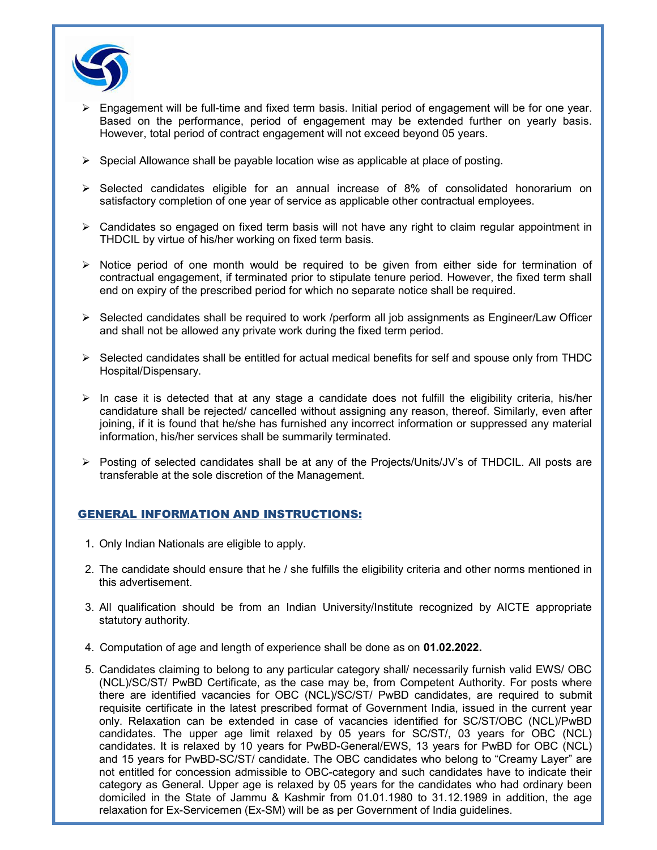

- Engagement will be full-time and fixed term basis. Initial period of engagement will be for one year. Based on the performance, period of engagement may be extended further on yearly basis. However, total period of contract engagement will not exceed beyond 05 years.
- $\triangleright$  Special Allowance shall be payable location wise as applicable at place of posting.
- Selected candidates eligible for an annual increase of 8% of consolidated honorarium on satisfactory completion of one year of service as applicable other contractual employees.
- $\triangleright$  Candidates so engaged on fixed term basis will not have any right to claim regular appointment in THDCIL by virtue of his/her working on fixed term basis.
- $\triangleright$  Notice period of one month would be required to be given from either side for termination of contractual engagement, if terminated prior to stipulate tenure period. However, the fixed term shall end on expiry of the prescribed period for which no separate notice shall be required.
- ▶ Selected candidates shall be required to work /perform all job assignments as Engineer/Law Officer and shall not be allowed any private work during the fixed term period.
- $\triangleright$  Selected candidates shall be entitled for actual medical benefits for self and spouse only from THDC Hospital/Dispensary.
- $\triangleright$  In case it is detected that at any stage a candidate does not fulfill the eligibility criteria, his/her candidature shall be rejected/ cancelled without assigning any reason, thereof. Similarly, even after joining, if it is found that he/she has furnished any incorrect information or suppressed any material information, his/her services shall be summarily terminated.
- $\triangleright$  Posting of selected candidates shall be at any of the Projects/Units/JV's of THDCIL. All posts are transferable at the sole discretion of the Management.

### GENERAL INFORMATION AND INSTRUCTIONS:

- 1. Only Indian Nationals are eligible to apply.
- 2. The candidate should ensure that he / she fulfills the eligibility criteria and other norms mentioned in this advertisement.
- 3. All qualification should be from an Indian University/Institute recognized by AICTE appropriate statutory authority.
- 4. Computation of age and length of experience shall be done as on 01.02.2022.
- 5. Candidates claiming to belong to any particular category shall/ necessarily furnish valid EWS/ OBC (NCL)/SC/ST/ PwBD Certificate, as the case may be, from Competent Authority. For posts where there are identified vacancies for OBC (NCL)/SC/ST/ PwBD candidates, are required to submit requisite certificate in the latest prescribed format of Government India, issued in the current year only. Relaxation can be extended in case of vacancies identified for SC/ST/OBC (NCL)/PwBD candidates. The upper age limit relaxed by 05 years for SC/ST/, 03 years for OBC (NCL) candidates. It is relaxed by 10 years for PwBD-General/EWS, 13 years for PwBD for OBC (NCL) and 15 years for PwBD-SC/ST/ candidate. The OBC candidates who belong to "Creamy Layer" are not entitled for concession admissible to OBC-category and such candidates have to indicate their category as General. Upper age is relaxed by 05 years for the candidates who had ordinary been domiciled in the State of Jammu & Kashmir from 01.01.1980 to 31.12.1989 in addition, the age relaxation for Ex-Servicemen (Ex-SM) will be as per Government of India guidelines.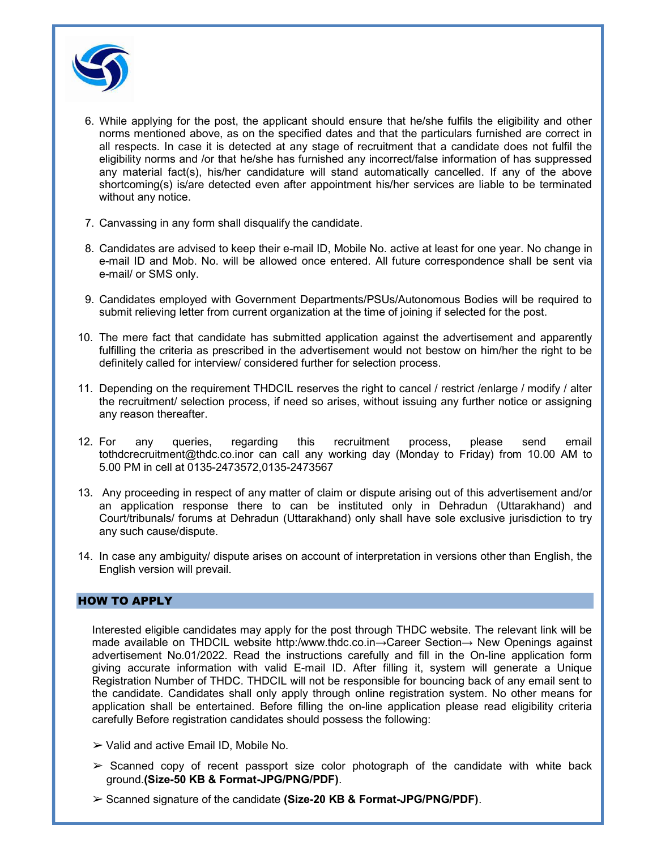

- 6. While applying for the post, the applicant should ensure that he/she fulfils the eligibility and other norms mentioned above, as on the specified dates and that the particulars furnished are correct in all respects. In case it is detected at any stage of recruitment that a candidate does not fulfil the eligibility norms and /or that he/she has furnished any incorrect/false information of has suppressed any material fact(s), his/her candidature will stand automatically cancelled. If any of the above shortcoming(s) is/are detected even after appointment his/her services are liable to be terminated without any notice.
- 7. Canvassing in any form shall disqualify the candidate.
- 8. Candidates are advised to keep their e-mail ID, Mobile No. active at least for one year. No change in e-mail ID and Mob. No. will be allowed once entered. All future correspondence shall be sent via e-mail/ or SMS only.
- 9. Candidates employed with Government Departments/PSUs/Autonomous Bodies will be required to submit relieving letter from current organization at the time of joining if selected for the post.
- 10. The mere fact that candidate has submitted application against the advertisement and apparently fulfilling the criteria as prescribed in the advertisement would not bestow on him/her the right to be definitely called for interview/ considered further for selection process.
- 11. Depending on the requirement THDCIL reserves the right to cancel / restrict /enlarge / modify / alter the recruitment/ selection process, if need so arises, without issuing any further notice or assigning any reason thereafter.
- 12. For any queries, regarding this recruitment process, please send email tothdcrecruitment@thdc.co.inor can call any working day (Monday to Friday) from 10.00 AM to 5.00 PM in cell at 0135-2473572,0135-2473567
- 13. Any proceeding in respect of any matter of claim or dispute arising out of this advertisement and/or an application response there to can be instituted only in Dehradun (Uttarakhand) and Court/tribunals/ forums at Dehradun (Uttarakhand) only shall have sole exclusive jurisdiction to try any such cause/dispute.
- 14. In case any ambiguity/ dispute arises on account of interpretation in versions other than English, the English version will prevail.

### HOW TO APPLY

Interested eligible candidates may apply for the post through THDC website. The relevant link will be made available on THDCIL website http:/www.thdc.co.in→Career Section→ New Openings against advertisement No.01/2022. Read the instructions carefully and fill in the On-line application form giving accurate information with valid E-mail ID. After filling it, system will generate a Unique Registration Number of THDC. THDCIL will not be responsible for bouncing back of any email sent to the candidate. Candidates shall only apply through online registration system. No other means for application shall be entertained. Before filling the on-line application please read eligibility criteria carefully Before registration candidates should possess the following:

- $\triangleright$  Valid and active Email ID, Mobile No.
- $\geq$  Scanned copy of recent passport size color photograph of the candidate with white back ground.(Size-50 KB & Format-JPG/PNG/PDF).
- $\geq$  Scanned signature of the candidate (Size-20 KB & Format-JPG/PNG/PDF).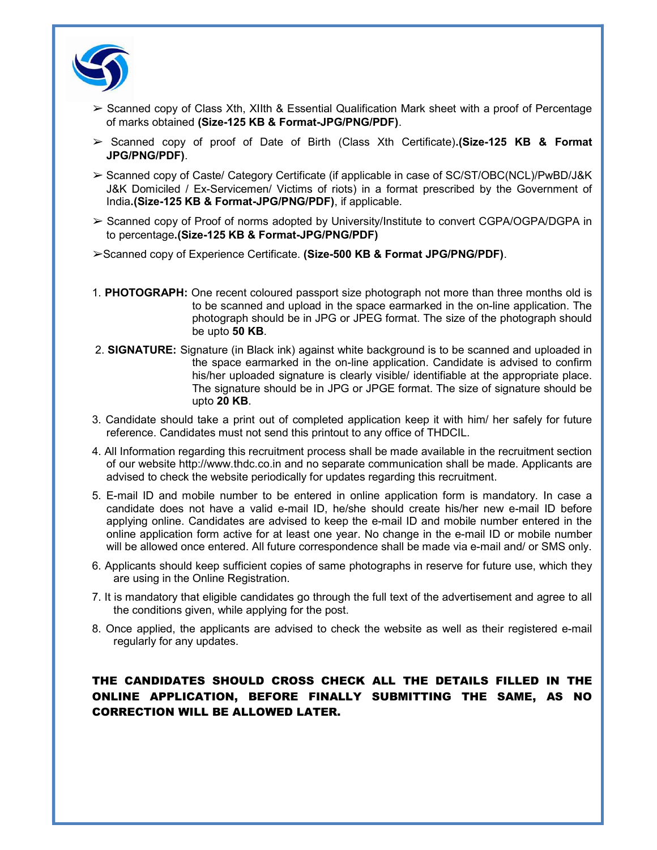

- $\geq$  Scanned copy of Class Xth, XIIth & Essential Qualification Mark sheet with a proof of Percentage of marks obtained (Size-125 KB & Format-JPG/PNG/PDF).
- ➢ Scanned copy of proof of Date of Birth (Class Xth Certificate).(Size-125 KB & Format JPG/PNG/PDF).
- ➢ Scanned copy of Caste/ Category Certificate (if applicable in case of SC/ST/OBC(NCL)/PwBD/J&K J&K Domiciled / Ex-Servicemen/ Victims of riots) in a format prescribed by the Government of India.(Size-125 KB & Format-JPG/PNG/PDF), if applicable.
- ➢ Scanned copy of Proof of norms adopted by University/Institute to convert CGPA/OGPA/DGPA in to percentage.(Size-125 KB & Format-JPG/PNG/PDF)
- ➢Scanned copy of Experience Certificate. (Size-500 KB & Format JPG/PNG/PDF).
- 1. PHOTOGRAPH: One recent coloured passport size photograph not more than three months old is to be scanned and upload in the space earmarked in the on-line application. The photograph should be in JPG or JPEG format. The size of the photograph should be upto 50 KB.
- 2. SIGNATURE: Signature (in Black ink) against white background is to be scanned and uploaded in the space earmarked in the on-line application. Candidate is advised to confirm his/her uploaded signature is clearly visible/ identifiable at the appropriate place. The signature should be in JPG or JPGE format. The size of signature should be upto 20 KB.
- 3. Candidate should take a print out of completed application keep it with him/ her safely for future reference. Candidates must not send this printout to any office of THDCIL.
- 4. All Information regarding this recruitment process shall be made available in the recruitment section of our website http://www.thdc.co.in and no separate communication shall be made. Applicants are advised to check the website periodically for updates regarding this recruitment.
- 5. E-mail ID and mobile number to be entered in online application form is mandatory. In case a candidate does not have a valid e-mail ID, he/she should create his/her new e-mail ID before applying online. Candidates are advised to keep the e-mail ID and mobile number entered in the online application form active for at least one year. No change in the e-mail ID or mobile number will be allowed once entered. All future correspondence shall be made via e-mail and/ or SMS only.
- 6. Applicants should keep sufficient copies of same photographs in reserve for future use, which they are using in the Online Registration.
- 7. It is mandatory that eligible candidates go through the full text of the advertisement and agree to all the conditions given, while applying for the post.
- 8. Once applied, the applicants are advised to check the website as well as their registered e-mail regularly for any updates.

# THE CANDIDATES SHOULD CROSS CHECK ALL THE DETAILS FILLED IN THE ONLINE APPLICATION, BEFORE FINALLY SUBMITTING THE SAME, AS NO CORRECTION WILL BE ALLOWED LATER.